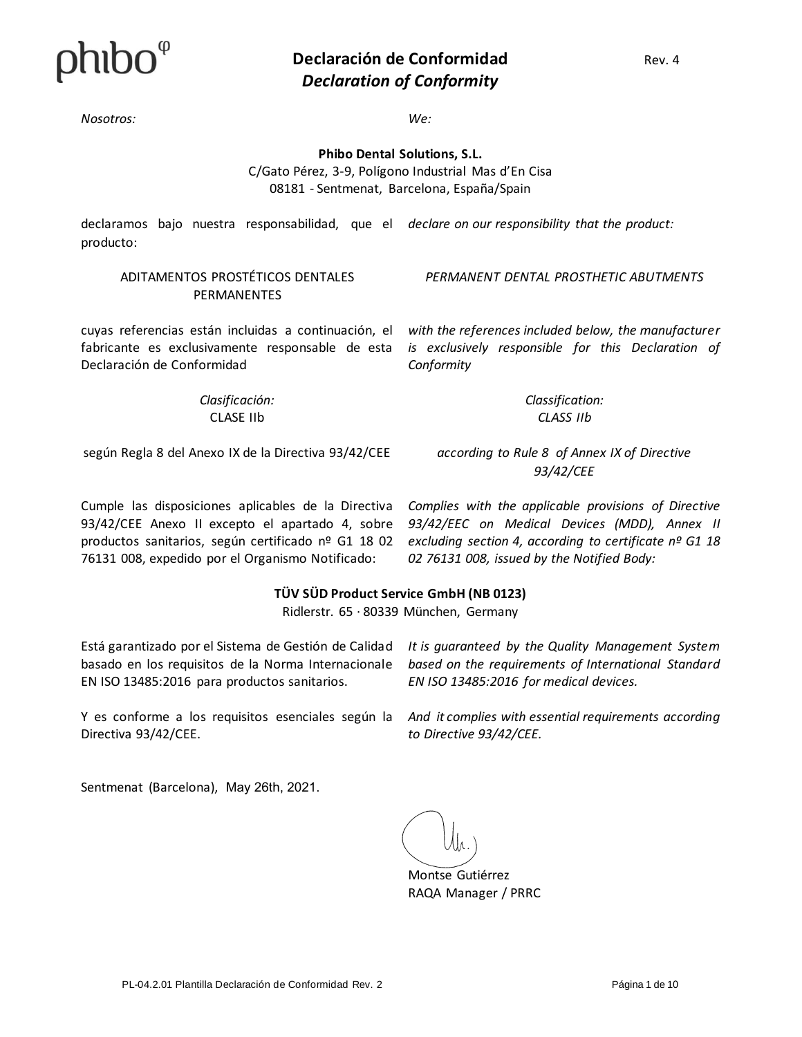

*Nosotros: We:*

*Conformity*

**Phibo Dental Solutions, S.L.**

C/Gato Pérez, 3-9, Polígono Industrial Mas d'En Cisa 08181 - Sentmenat, Barcelona, España/Spain

declaramos bajo nuestra responsabilidad, que el declare on our responsibility that the product: producto:

#### ADITAMENTOS PROSTÉTICOS DENTALES **PERMANENTES**

*PERMANENT DENTAL PROSTHETIC ABUTMENTS*

*with the references included below, the manufacturer is exclusively responsible for this Declaration of* 

cuyas referencias están incluidas a continuación, el fabricante es exclusivamente responsable de esta Declaración de Conformidad

> *Clasificación:* CLASE IIb

*Classification: CLASS IIb*

según Regla 8 del Anexo IX de la Directiva 93/42/CEE

*according to Rule 8 of Annex IX of Directive 93/42/CEE*

Cumple las disposiciones aplicables de la Directiva 93/42/CEE Anexo II excepto el apartado 4, sobre productos sanitarios, según certificado nº G1 18 02 76131 008, expedido por el Organismo Notificado:

*Complies with the applicable provisions of Directive 93/42/EEC on Medical Devices (MDD), Annex II excluding section 4, according to certificate nº G1 18 02 76131 008, issued by the Notified Body:*

#### **TÜV SÜD Product Service GmbH (NB 0123)**

Ridlerstr. 65 · 80339 München, Germany

Está garantizado por el Sistema de Gestión de Calidad basado en los requisitos de la Norma Internacionale EN ISO 13485:2016 para productos sanitarios.

Y es conforme a los requisitos esenciales según la Directiva 93/42/CEE.

*It is guaranteed by the Quality Management System based on the requirements of International Standard EN ISO 13485:2016 for medical devices.*

*And it complies with essential requirements according to Directive 93/42/CEE.*

Sentmenat (Barcelona), May 26th, 2021.

Montse Gutiérrez RAQA Manager / PRRC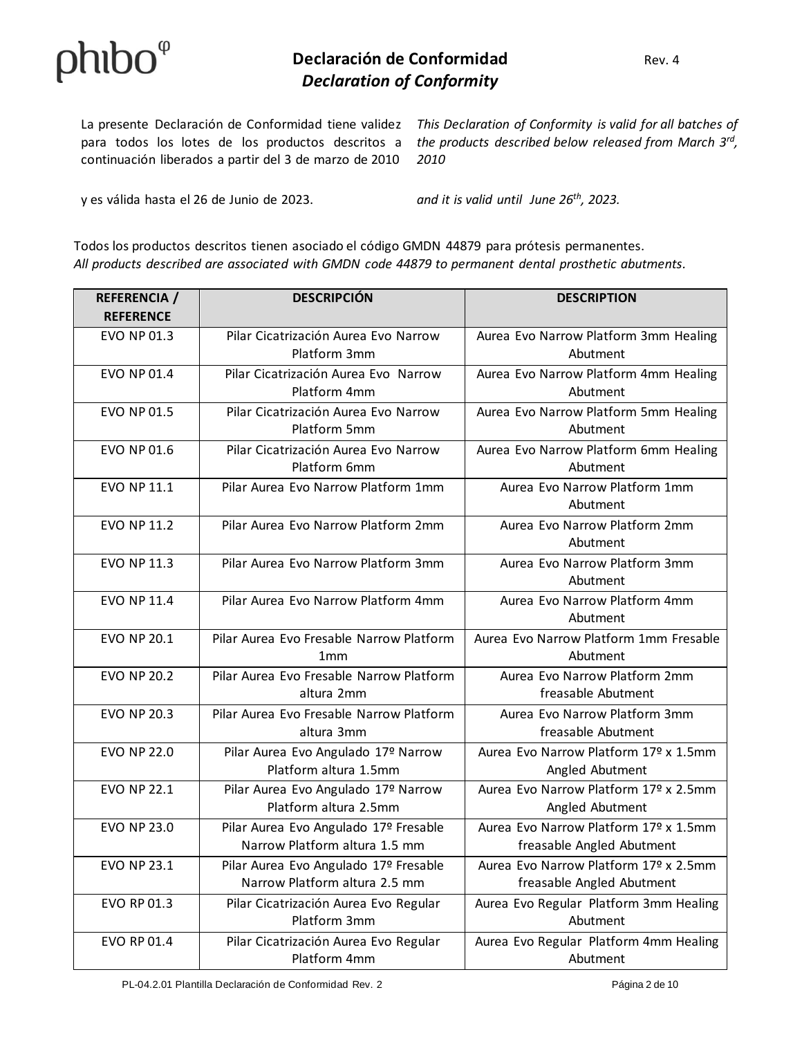continuación liberados a partir del 3 de marzo de 2010

La presente Declaración de Conformidad tiene validez This Declaration of Conformity is valid for all batches of para todos los lotes de los productos descritos a the products described below released from March 3<sup>rd</sup>, *2010*

y es válida hasta el 26 de Junio de 2023. *and it is valid until June 26th, 2023.*

Todos los productos descritos tienen asociado el código GMDN 44879 para prótesis permanentes. *All products described are associated with GMDN code 44879 to permanent dental prosthetic abutments.*

| <b>REFERENCIA</b> /<br><b>REFERENCE</b> | <b>DESCRIPCIÓN</b>                                                     | <b>DESCRIPTION</b>                                                 |
|-----------------------------------------|------------------------------------------------------------------------|--------------------------------------------------------------------|
| <b>EVO NP 01.3</b>                      | Pilar Cicatrización Aurea Evo Narrow<br>Platform 3mm                   | Aurea Evo Narrow Platform 3mm Healing<br>Abutment                  |
| <b>EVO NP 01.4</b>                      | Pilar Cicatrización Aurea Evo Narrow<br>Platform 4mm                   | Aurea Evo Narrow Platform 4mm Healing<br>Abutment                  |
| <b>EVO NP 01.5</b>                      | Pilar Cicatrización Aurea Evo Narrow<br>Platform 5mm                   | Aurea Evo Narrow Platform 5mm Healing<br>Abutment                  |
| EVO NP 01.6                             | Pilar Cicatrización Aurea Evo Narrow<br>Platform 6mm                   | Aurea Evo Narrow Platform 6mm Healing<br>Abutment                  |
| <b>EVO NP 11.1</b>                      | Pilar Aurea Evo Narrow Platform 1mm                                    | Aurea Evo Narrow Platform 1mm<br>Abutment                          |
| <b>EVO NP 11.2</b>                      | Pilar Aurea Evo Narrow Platform 2mm                                    | Aurea Evo Narrow Platform 2mm<br>Abutment                          |
| <b>EVO NP 11.3</b>                      | Pilar Aurea Evo Narrow Platform 3mm                                    | Aurea Evo Narrow Platform 3mm<br>Abutment                          |
| <b>EVO NP 11.4</b>                      | Pilar Aurea Evo Narrow Platform 4mm                                    | Aurea Evo Narrow Platform 4mm<br>Abutment                          |
| <b>EVO NP 20.1</b>                      | Pilar Aurea Evo Fresable Narrow Platform<br>1 <sub>mm</sub>            | Aurea Evo Narrow Platform 1mm Fresable<br>Abutment                 |
| <b>EVO NP 20.2</b>                      | Pilar Aurea Evo Fresable Narrow Platform<br>altura 2mm                 | Aurea Evo Narrow Platform 2mm<br>freasable Abutment                |
| <b>EVO NP 20.3</b>                      | Pilar Aurea Evo Fresable Narrow Platform<br>altura 3mm                 | Aurea Evo Narrow Platform 3mm<br>freasable Abutment                |
| <b>EVO NP 22.0</b>                      | Pilar Aurea Evo Angulado 17º Narrow<br>Platform altura 1.5mm           | Aurea Evo Narrow Platform 17º x 1.5mm<br>Angled Abutment           |
| <b>EVO NP 22.1</b>                      | Pilar Aurea Evo Angulado 17º Narrow<br>Platform altura 2.5mm           | Aurea Evo Narrow Platform 17º x 2.5mm<br>Angled Abutment           |
| <b>EVO NP 23.0</b>                      | Pilar Aurea Evo Angulado 17º Fresable<br>Narrow Platform altura 1.5 mm | Aurea Evo Narrow Platform 17º x 1.5mm<br>freasable Angled Abutment |
| <b>EVO NP 23.1</b>                      | Pilar Aurea Evo Angulado 17º Fresable<br>Narrow Platform altura 2.5 mm | Aurea Evo Narrow Platform 17º x 2.5mm<br>freasable Angled Abutment |
| EVO RP 01.3                             | Pilar Cicatrización Aurea Evo Regular<br>Platform 3mm                  | Aurea Evo Regular Platform 3mm Healing<br>Abutment                 |
| EVO RP 01.4                             | Pilar Cicatrización Aurea Evo Regular<br>Platform 4mm                  | Aurea Evo Regular Platform 4mm Healing<br>Abutment                 |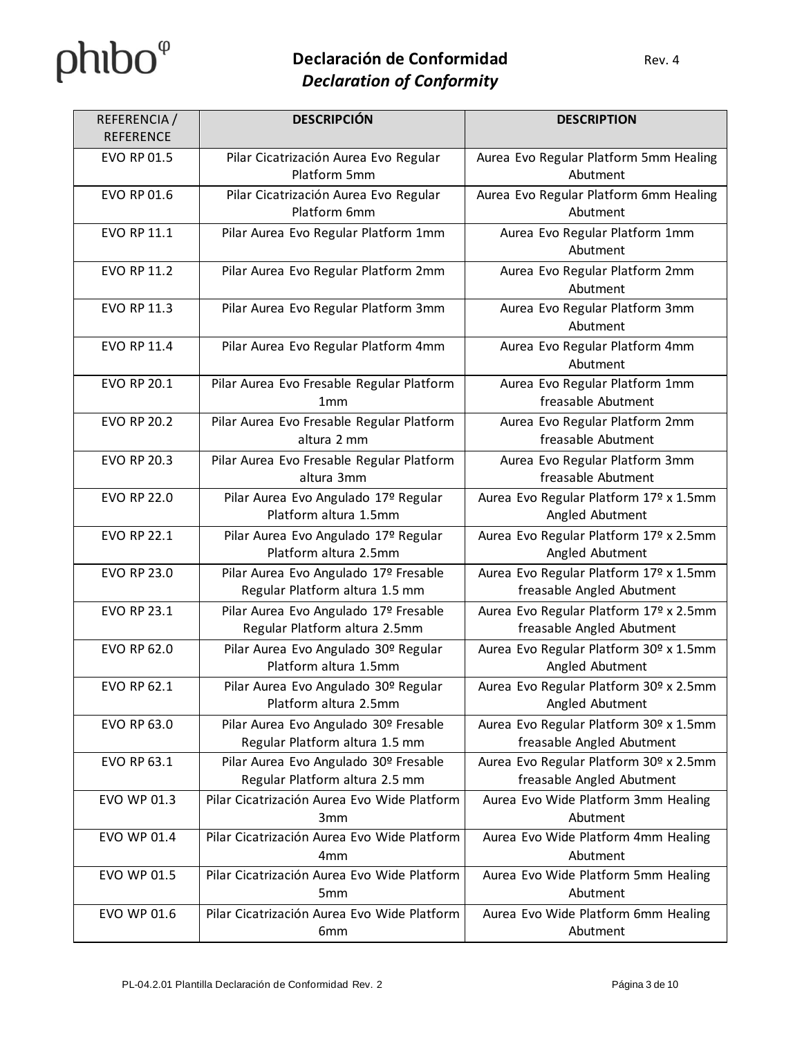| REFERENCIA /<br><b>REFERENCE</b> | <b>DESCRIPCIÓN</b>                                                      | <b>DESCRIPTION</b>                                                  |
|----------------------------------|-------------------------------------------------------------------------|---------------------------------------------------------------------|
| EVO RP 01.5                      | Pilar Cicatrización Aurea Evo Regular<br>Platform 5mm                   | Aurea Evo Regular Platform 5mm Healing<br>Abutment                  |
| <b>EVO RP 01.6</b>               | Pilar Cicatrización Aurea Evo Regular<br>Platform 6mm                   | Aurea Evo Regular Platform 6mm Healing<br>Abutment                  |
| EVO RP 11.1                      | Pilar Aurea Evo Regular Platform 1mm                                    | Aurea Evo Regular Platform 1mm<br>Abutment                          |
| EVO RP 11.2                      | Pilar Aurea Evo Regular Platform 2mm                                    | Aurea Evo Regular Platform 2mm<br>Abutment                          |
| <b>EVO RP 11.3</b>               | Pilar Aurea Evo Regular Platform 3mm                                    | Aurea Evo Regular Platform 3mm<br>Abutment                          |
| EVO RP 11.4                      | Pilar Aurea Evo Regular Platform 4mm                                    | Aurea Evo Regular Platform 4mm<br>Abutment                          |
| <b>EVO RP 20.1</b>               | Pilar Aurea Evo Fresable Regular Platform<br>1mm                        | Aurea Evo Regular Platform 1mm<br>freasable Abutment                |
| <b>EVO RP 20.2</b>               | Pilar Aurea Evo Fresable Regular Platform<br>altura 2 mm                | Aurea Evo Regular Platform 2mm<br>freasable Abutment                |
| <b>EVO RP 20.3</b>               | Pilar Aurea Evo Fresable Regular Platform<br>altura 3mm                 | Aurea Evo Regular Platform 3mm<br>freasable Abutment                |
| <b>EVO RP 22.0</b>               | Pilar Aurea Evo Angulado 17º Regular<br>Platform altura 1.5mm           | Aurea Evo Regular Platform 17º x 1.5mm<br>Angled Abutment           |
| <b>EVO RP 22.1</b>               | Pilar Aurea Evo Angulado 17º Regular<br>Platform altura 2.5mm           | Aurea Evo Regular Platform 17º x 2.5mm<br>Angled Abutment           |
| <b>EVO RP 23.0</b>               | Pilar Aurea Evo Angulado 17º Fresable<br>Regular Platform altura 1.5 mm | Aurea Evo Regular Platform 17º x 1.5mm<br>freasable Angled Abutment |
| <b>EVO RP 23.1</b>               | Pilar Aurea Evo Angulado 17º Fresable<br>Regular Platform altura 2.5mm  | Aurea Evo Regular Platform 17º x 2.5mm<br>freasable Angled Abutment |
| <b>EVO RP 62.0</b>               | Pilar Aurea Evo Angulado 30º Regular<br>Platform altura 1.5mm           | Aurea Evo Regular Platform 30º x 1.5mm<br>Angled Abutment           |
| <b>EVO RP 62.1</b>               | Pilar Aurea Evo Angulado 30º Regular<br>Platform altura 2.5mm           | Aurea Evo Regular Platform 30º x 2.5mm<br>Angled Abutment           |
| EVO RP 63.0                      | Pilar Aurea Evo Angulado 30º Fresable<br>Regular Platform altura 1.5 mm | Aurea Evo Regular Platform 30º x 1.5mm<br>freasable Angled Abutment |
| EVO RP 63.1                      | Pilar Aurea Evo Angulado 30º Fresable<br>Regular Platform altura 2.5 mm | Aurea Evo Regular Platform 30º x 2.5mm<br>freasable Angled Abutment |
| EVO WP 01.3                      | Pilar Cicatrización Aurea Evo Wide Platform<br>3 <sub>mm</sub>          | Aurea Evo Wide Platform 3mm Healing<br>Abutment                     |
| EVO WP 01.4                      | Pilar Cicatrización Aurea Evo Wide Platform<br>4 <sub>mm</sub>          | Aurea Evo Wide Platform 4mm Healing<br>Abutment                     |
| EVO WP 01.5                      | Pilar Cicatrización Aurea Evo Wide Platform<br>5 <sub>mm</sub>          | Aurea Evo Wide Platform 5mm Healing<br>Abutment                     |
| EVO WP 01.6                      | Pilar Cicatrización Aurea Evo Wide Platform<br>6 <sub>mm</sub>          | Aurea Evo Wide Platform 6mm Healing<br>Abutment                     |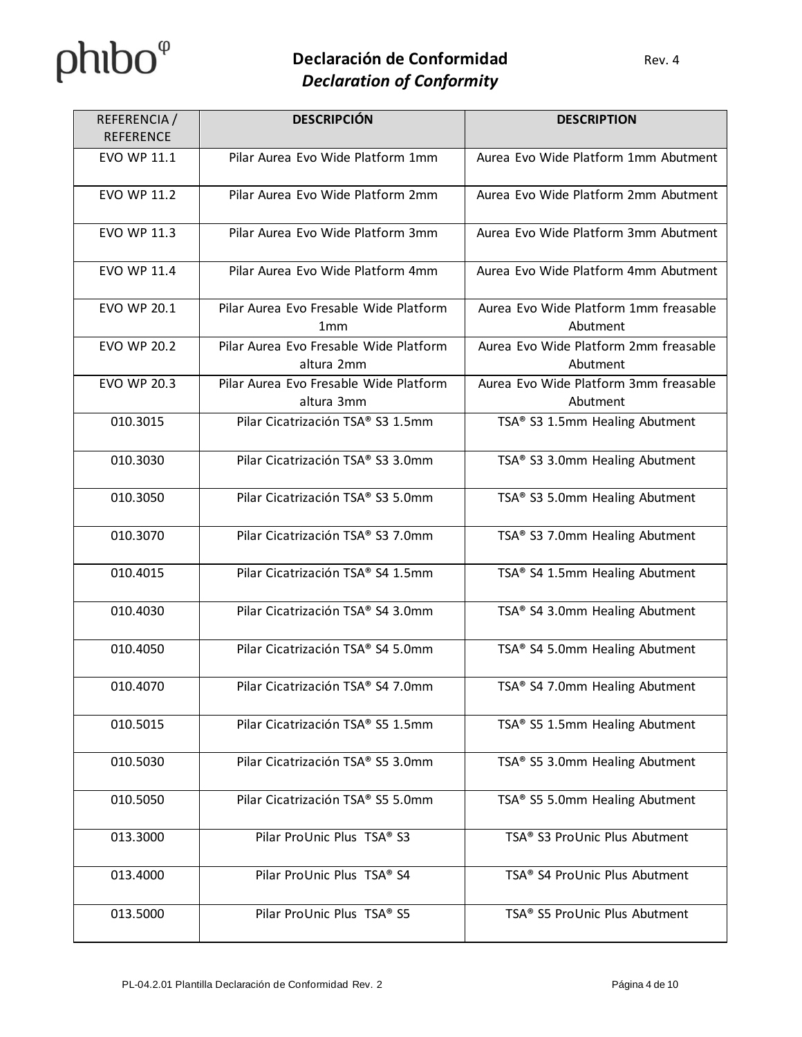# $phibo^{\varphi}$

| REFERENCIA/<br><b>REFERENCE</b> | <b>DESCRIPCIÓN</b>                                        | <b>DESCRIPTION</b>                                |
|---------------------------------|-----------------------------------------------------------|---------------------------------------------------|
| EVO WP 11.1                     | Pilar Aurea Evo Wide Platform 1mm                         | Aurea Evo Wide Platform 1mm Abutment              |
| <b>EVO WP 11.2</b>              | Pilar Aurea Evo Wide Platform 2mm                         | Aurea Evo Wide Platform 2mm Abutment              |
| <b>EVO WP 11.3</b>              | Pilar Aurea Evo Wide Platform 3mm                         | Aurea Evo Wide Platform 3mm Abutment              |
| <b>EVO WP 11.4</b>              | Pilar Aurea Evo Wide Platform 4mm                         | Aurea Evo Wide Platform 4mm Abutment              |
| <b>EVO WP 20.1</b>              | Pilar Aurea Evo Fresable Wide Platform<br>1 <sub>mm</sub> | Aurea Evo Wide Platform 1mm freasable<br>Abutment |
| <b>EVO WP 20.2</b>              | Pilar Aurea Evo Fresable Wide Platform<br>altura 2mm      | Aurea Evo Wide Platform 2mm freasable<br>Abutment |
| <b>EVO WP 20.3</b>              | Pilar Aurea Evo Fresable Wide Platform<br>altura 3mm      | Aurea Evo Wide Platform 3mm freasable<br>Abutment |
| 010.3015                        | Pilar Cicatrización TSA® S3 1.5mm                         | TSA® S3 1.5mm Healing Abutment                    |
| 010.3030                        | Pilar Cicatrización TSA® S3 3.0mm                         | TSA® S3 3.0mm Healing Abutment                    |
| 010.3050                        | Pilar Cicatrización TSA® S3 5.0mm                         | TSA® S3 5.0mm Healing Abutment                    |
| 010.3070                        | Pilar Cicatrización TSA® S3 7.0mm                         | TSA® S3 7.0mm Healing Abutment                    |
| 010.4015                        | Pilar Cicatrización TSA® S4 1.5mm                         | TSA® S4 1.5mm Healing Abutment                    |
| 010.4030                        | Pilar Cicatrización TSA® S4 3.0mm                         | TSA® S4 3.0mm Healing Abutment                    |
| 010.4050                        | Pilar Cicatrización TSA® S4 5.0mm                         | TSA® S4 5.0mm Healing Abutment                    |
| 010.4070                        | Pilar Cicatrización TSA® S4 7.0mm                         | TSA® S4 7.0mm Healing Abutment                    |
| 010.5015                        | Pilar Cicatrización TSA® S5 1.5mm                         | TSA® S5 1.5mm Healing Abutment                    |
| 010.5030                        | Pilar Cicatrización TSA® S5 3.0mm                         | TSA® S5 3.0mm Healing Abutment                    |
| 010.5050                        | Pilar Cicatrización TSA® S5 5.0mm                         | TSA® S5 5.0mm Healing Abutment                    |
| 013.3000                        | Pilar ProUnic Plus TSA® S3                                | TSA® S3 ProUnic Plus Abutment                     |
| 013.4000                        | Pilar ProUnic Plus TSA® S4                                | TSA® S4 ProUnic Plus Abutment                     |
| 013.5000                        | Pilar ProUnic Plus TSA® S5                                | TSA® S5 ProUnic Plus Abutment                     |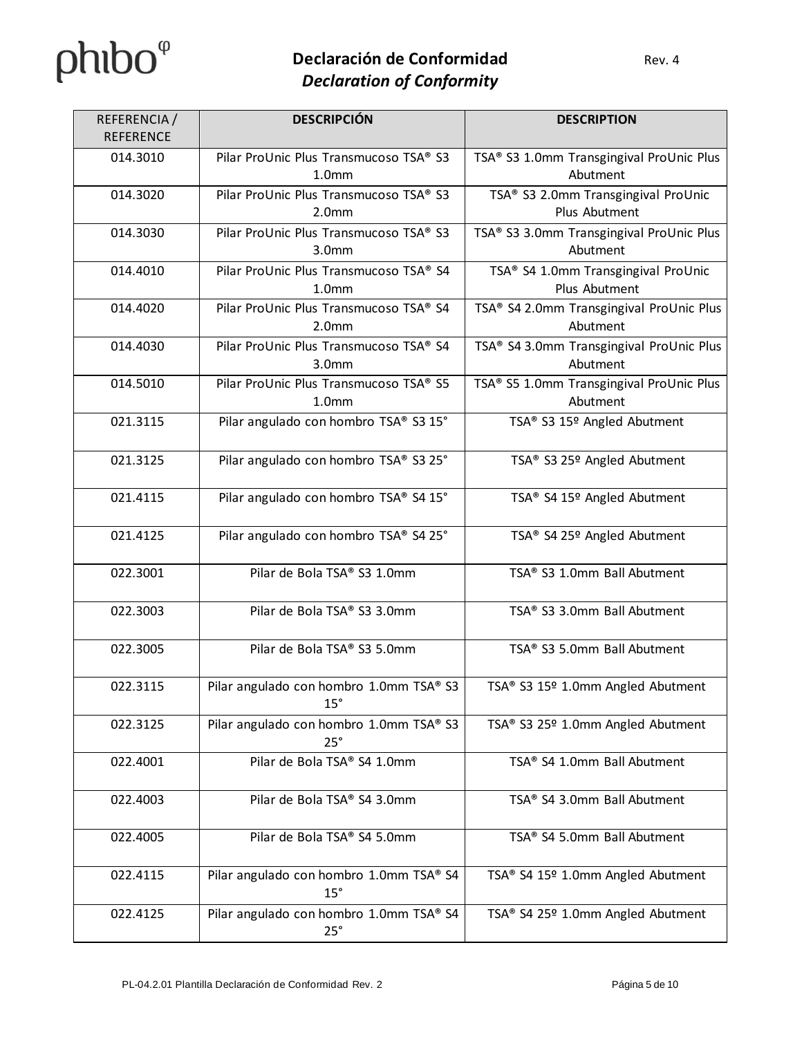| REFERENCIA/      | <b>DESCRIPCIÓN</b>                                          | <b>DESCRIPTION</b>                                   |
|------------------|-------------------------------------------------------------|------------------------------------------------------|
| <b>REFERENCE</b> |                                                             |                                                      |
| 014.3010         | Pilar ProUnic Plus Transmucoso TSA® S3<br>1.0 <sub>mm</sub> | TSA® S3 1.0mm Transgingival ProUnic Plus<br>Abutment |
| 014.3020         | Pilar ProUnic Plus Transmucoso TSA® S3<br>2.0 <sub>mm</sub> | TSA® S3 2.0mm Transgingival ProUnic<br>Plus Abutment |
| 014.3030         | Pilar ProUnic Plus Transmucoso TSA® S3<br>3.0 <sub>mm</sub> | TSA® S3 3.0mm Transgingival ProUnic Plus<br>Abutment |
| 014.4010         | Pilar ProUnic Plus Transmucoso TSA® S4<br>1.0 <sub>mm</sub> | TSA® S4 1.0mm Transgingival ProUnic<br>Plus Abutment |
| 014.4020         | Pilar ProUnic Plus Transmucoso TSA® S4<br>2.0 <sub>mm</sub> | TSA® S4 2.0mm Transgingival ProUnic Plus<br>Abutment |
| 014.4030         | Pilar ProUnic Plus Transmucoso TSA® S4<br>3.0 <sub>mm</sub> | TSA® S4 3.0mm Transgingival ProUnic Plus<br>Abutment |
| 014.5010         | Pilar ProUnic Plus Transmucoso TSA® S5<br>1.0 <sub>mm</sub> | TSA® S5 1.0mm Transgingival ProUnic Plus<br>Abutment |
| 021.3115         | Pilar angulado con hombro TSA® S3 15°                       | TSA® S3 15º Angled Abutment                          |
| 021.3125         | Pilar angulado con hombro TSA® S3 25°                       | TSA® S3 25º Angled Abutment                          |
| 021.4115         | Pilar angulado con hombro TSA® S4 15°                       | TSA® S4 15º Angled Abutment                          |
| 021.4125         | Pilar angulado con hombro TSA® S4 25°                       | TSA® S4 25º Angled Abutment                          |
| 022.3001         | Pilar de Bola TSA® S3 1.0mm                                 | TSA® S3 1.0mm Ball Abutment                          |
| 022.3003         | Pilar de Bola TSA® S3 3.0mm                                 | TSA® S3 3.0mm Ball Abutment                          |
| 022.3005         | Pilar de Bola TSA® S3 5.0mm                                 | TSA® S3 5.0mm Ball Abutment                          |
| 022.3115         | Pilar angulado con hombro 1.0mm TSA® S3<br>$15^\circ$       | TSA® S3 15º 1.0mm Angled Abutment                    |
| 022.3125         | Pilar angulado con hombro 1.0mm TSA® S3<br>25°              | TSA® S3 25º 1.0mm Angled Abutment                    |
| 022.4001         | Pilar de Bola TSA® S4 1.0mm                                 | TSA® S4 1.0mm Ball Abutment                          |
| 022.4003         | Pilar de Bola TSA® S4 3.0mm                                 | TSA® S4 3.0mm Ball Abutment                          |
| 022.4005         | Pilar de Bola TSA® S4 5.0mm                                 | TSA® S4 5.0mm Ball Abutment                          |
| 022.4115         | Pilar angulado con hombro 1.0mm TSA® S4<br>$15^\circ$       | TSA® S4 15º 1.0mm Angled Abutment                    |
| 022.4125         | Pilar angulado con hombro 1.0mm TSA® S4<br>25°              | TSA® S4 25º 1.0mm Angled Abutment                    |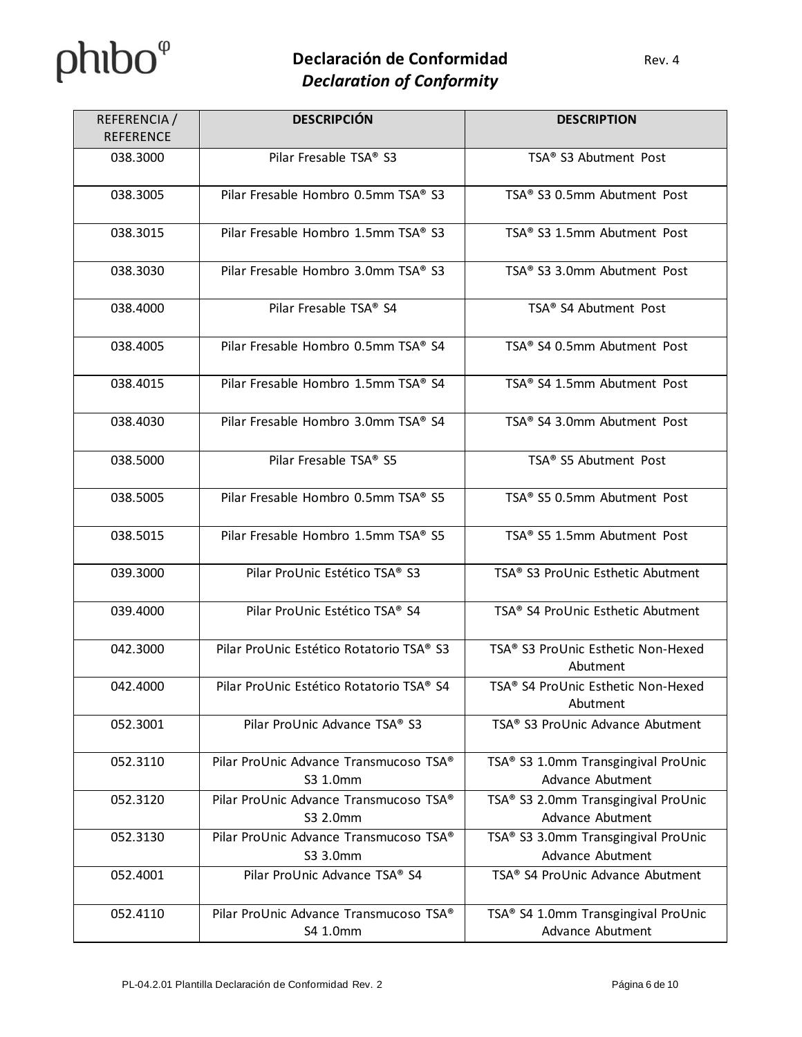# $phibo^{\varphi}$

| REFERENCIA/<br><b>REFERENCE</b> | <b>DESCRIPCIÓN</b>                                 | <b>DESCRIPTION</b>                                      |
|---------------------------------|----------------------------------------------------|---------------------------------------------------------|
| 038.3000                        | Pilar Fresable TSA® S3                             | TSA® S3 Abutment Post                                   |
| 038.3005                        | Pilar Fresable Hombro 0.5mm TSA® S3                | TSA® S3 0.5mm Abutment Post                             |
| 038.3015                        | Pilar Fresable Hombro 1.5mm TSA® S3                | TSA® S3 1.5mm Abutment Post                             |
| 038.3030                        | Pilar Fresable Hombro 3.0mm TSA® S3                | TSA® S3 3.0mm Abutment Post                             |
| 038.4000                        | Pilar Fresable TSA® S4                             | TSA® S4 Abutment Post                                   |
| 038.4005                        | Pilar Fresable Hombro 0.5mm TSA® S4                | TSA® S4 0.5mm Abutment Post                             |
| 038.4015                        | Pilar Fresable Hombro 1.5mm TSA® S4                | TSA® S4 1.5mm Abutment Post                             |
| 038.4030                        | Pilar Fresable Hombro 3.0mm TSA® S4                | TSA® S4 3.0mm Abutment Post                             |
| 038.5000                        | Pilar Fresable TSA® S5                             | TSA® S5 Abutment Post                                   |
| 038.5005                        | Pilar Fresable Hombro 0.5mm TSA® S5                | TSA® S5 0.5mm Abutment Post                             |
| 038.5015                        | Pilar Fresable Hombro 1.5mm TSA® S5                | TSA® S5 1.5mm Abutment Post                             |
| 039.3000                        | Pilar ProUnic Estético TSA® S3                     | TSA® S3 ProUnic Esthetic Abutment                       |
| 039.4000                        | Pilar ProUnic Estético TSA® S4                     | TSA® S4 ProUnic Esthetic Abutment                       |
| 042.3000                        | Pilar ProUnic Estético Rotatorio TSA® S3           | TSA® S3 ProUnic Esthetic Non-Hexed<br>Abutment          |
| 042.4000                        | Pilar ProUnic Estético Rotatorio TSA® S4           | TSA® S4 ProUnic Esthetic Non-Hexed<br>Abutment          |
| 052.3001                        | Pilar ProUnic Advance TSA® S3                      | TSA® S3 ProUnic Advance Abutment                        |
| 052.3110                        | Pilar ProUnic Advance Transmucoso TSA®<br>S3 1.0mm | TSA® S3 1.0mm Transgingival ProUnic<br>Advance Abutment |
| 052.3120                        | Pilar ProUnic Advance Transmucoso TSA®<br>S3 2.0mm | TSA® S3 2.0mm Transgingival ProUnic<br>Advance Abutment |
| 052.3130                        | Pilar ProUnic Advance Transmucoso TSA®<br>S3 3.0mm | TSA® S3 3.0mm Transgingival ProUnic<br>Advance Abutment |
| 052.4001                        | Pilar ProUnic Advance TSA® S4                      | TSA® S4 ProUnic Advance Abutment                        |
| 052.4110                        | Pilar ProUnic Advance Transmucoso TSA®<br>S4 1.0mm | TSA® S4 1.0mm Transgingival ProUnic<br>Advance Abutment |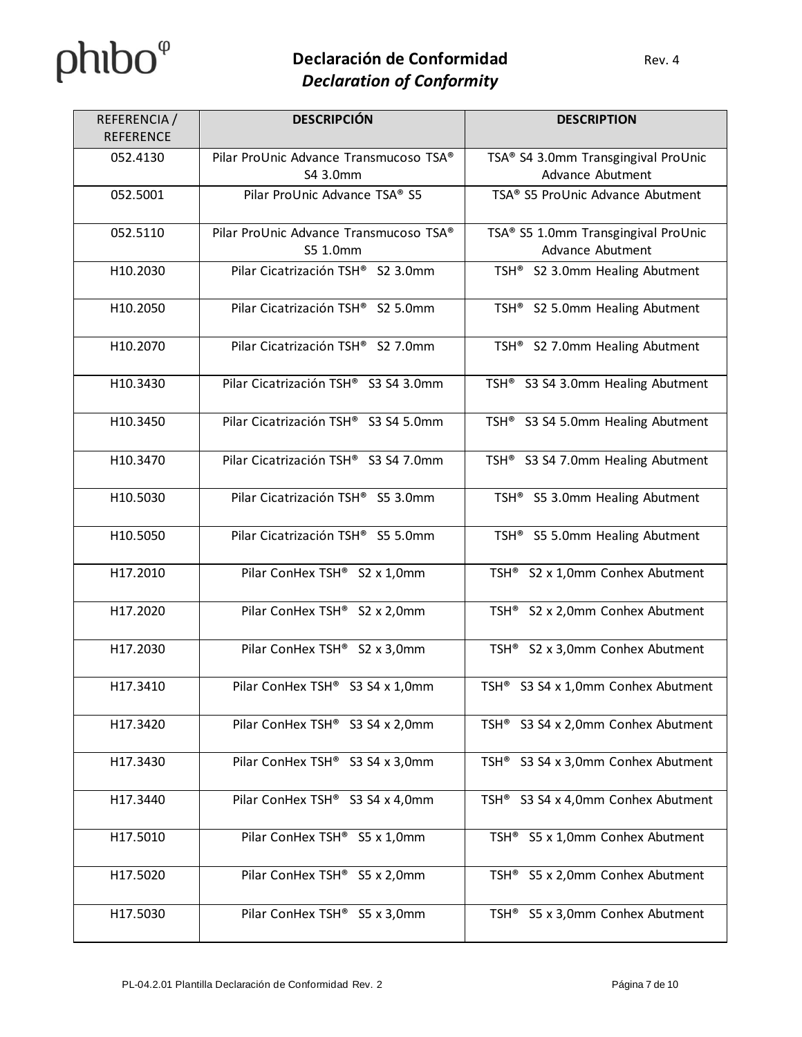| REFERENCIA /<br><b>REFERENCE</b> | <b>DESCRIPCIÓN</b>                                 | <b>DESCRIPTION</b>                                      |
|----------------------------------|----------------------------------------------------|---------------------------------------------------------|
| 052.4130                         | Pilar ProUnic Advance Transmucoso TSA®<br>S4 3.0mm | TSA® S4 3.0mm Transgingival ProUnic<br>Advance Abutment |
| 052.5001                         | Pilar ProUnic Advance TSA® S5                      | TSA® S5 ProUnic Advance Abutment                        |
| 052.5110                         | Pilar ProUnic Advance Transmucoso TSA®<br>S5 1.0mm | TSA® S5 1.0mm Transgingival ProUnic<br>Advance Abutment |
| H10.2030                         | Pilar Cicatrización TSH® S2 3.0mm                  | TSH <sup>®</sup> S2 3.0mm Healing Abutment              |
| H10.2050                         | Pilar Cicatrización TSH® S2 5.0mm                  | TSH <sup>®</sup> S2 5.0mm Healing Abutment              |
| H10.2070                         | Pilar Cicatrización TSH® S2 7.0mm                  | TSH <sup>®</sup> S2 7.0mm Healing Abutment              |
| H10.3430                         | Pilar Cicatrización TSH® S3 S4 3.0mm               | TSH <sup>®</sup> S3 S4 3.0mm Healing Abutment           |
| H10.3450                         | Pilar Cicatrización TSH® S3 S4 5.0mm               | TSH <sup>®</sup> S3 S4 5.0mm Healing Abutment           |
| H10.3470                         | Pilar Cicatrización TSH® S3 S4 7.0mm               | TSH <sup>®</sup> S3 S4 7.0mm Healing Abutment           |
| H10.5030                         | Pilar Cicatrización TSH® S5 3.0mm                  | TSH <sup>®</sup> S5 3.0mm Healing Abutment              |
| H10.5050                         | Pilar Cicatrización TSH® S5 5.0mm                  | TSH <sup>®</sup> S5 5.0mm Healing Abutment              |
| H17.2010                         | Pilar ConHex TSH® S2 x 1,0mm                       | TSH <sup>®</sup> S2 x 1,0mm Conhex Abutment             |
| H17.2020                         | Pilar ConHex TSH® S2 x 2,0mm                       | TSH <sup>®</sup> S2 x 2,0mm Conhex Abutment             |
| H17.2030                         | Pilar ConHex TSH® S2 x 3,0mm                       | TSH <sup>®</sup> S2 x 3,0mm Conhex Abutment             |
| H17.3410                         | Pilar ConHex TSH® S3 S4 x 1,0mm                    | TSH <sup>®</sup> S3 S4 x 1,0mm Conhex Abutment          |
| H17.3420                         | Pilar ConHex TSH® S3 S4 x 2,0mm                    | TSH <sup>®</sup> S3 S4 x 2,0mm Conhex Abutment          |
| H17.3430                         | Pilar ConHex TSH® S3 S4 x 3,0mm                    | S3 S4 x 3,0mm Conhex Abutment<br>TSH <sup>®</sup>       |
| H17.3440                         | Pilar ConHex TSH® S3 S4 x 4,0mm                    | TSH <sup>®</sup> S3 S4 x 4,0mm Conhex Abutment          |
| H17.5010                         | Pilar ConHex TSH <sup>®</sup> S5 x 1,0mm           | TSH <sup>®</sup> S5 x 1,0mm Conhex Abutment             |
| H17.5020                         | Pilar ConHex TSH® S5 x 2,0mm                       | S5 x 2,0mm Conhex Abutment<br>TSH®                      |
| H17.5030                         | Pilar ConHex TSH <sup>®</sup> S5 x 3,0mm           | TSH <sup>®</sup> S5 x 3,0mm Conhex Abutment             |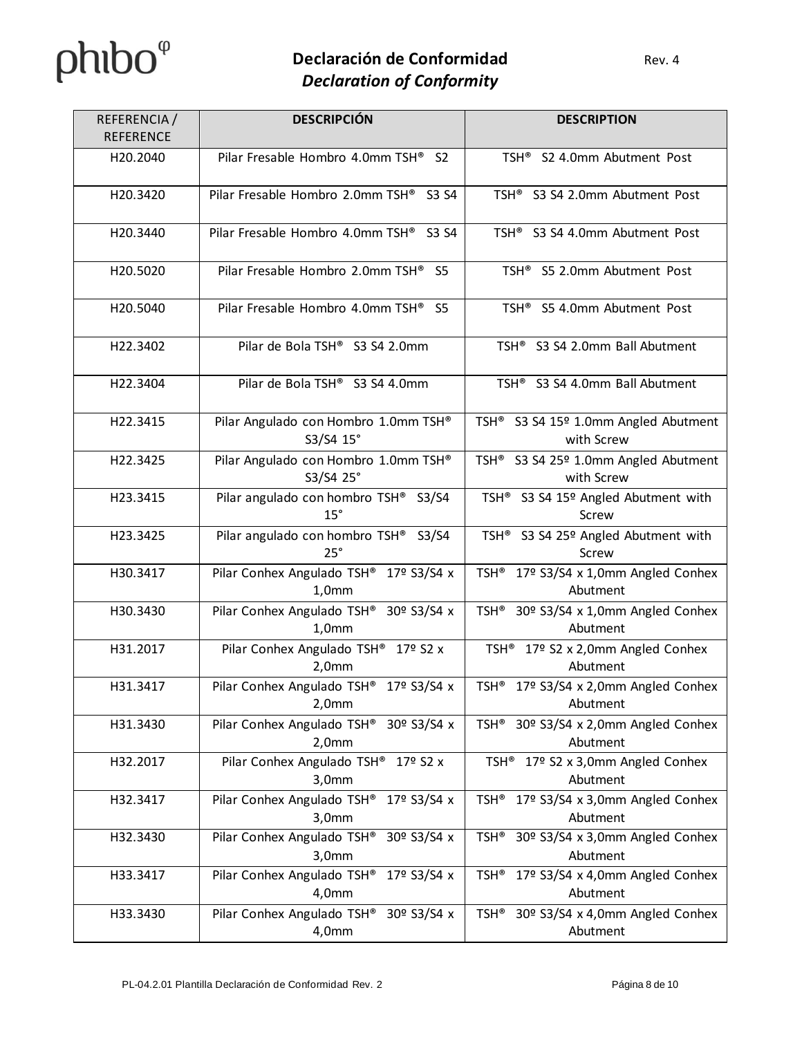| REFERENCIA /<br><b>REFERENCE</b> | <b>DESCRIPCIÓN</b>                                | <b>DESCRIPTION</b>                                              |
|----------------------------------|---------------------------------------------------|-----------------------------------------------------------------|
| H20.2040                         | Pilar Fresable Hombro 4.0mm TSH <sup>®</sup> S2   | TSH <sup>®</sup> S2 4.0mm Abutment Post                         |
| H20.3420                         | Pilar Fresable Hombro 2.0mm TSH® S3 S4            | TSH <sup>®</sup> S3 S4 2.0mm Abutment Post                      |
| H20.3440                         | Pilar Fresable Hombro 4.0mm TSH® S3 S4            | TSH <sup>®</sup> S3 S4 4.0mm Abutment Post                      |
| H20.5020                         | Pilar Fresable Hombro 2.0mm TSH® S5               | TSH <sup>®</sup> S5 2.0mm Abutment Post                         |
| H20.5040                         | Pilar Fresable Hombro 4.0mm TSH <sup>®</sup> S5   | TSH <sup>®</sup> S5 4.0mm Abutment Post                         |
| H22.3402                         | Pilar de Bola TSH® S3 S4 2.0mm                    | TSH <sup>®</sup> S3 S4 2.0mm Ball Abutment                      |
| H22.3404                         | Pilar de Bola TSH® S3 S4 4.0mm                    | TSH <sup>®</sup> S3 S4 4.0mm Ball Abutment                      |
| H22.3415                         | Pilar Angulado con Hombro 1.0mm TSH®<br>S3/S4 15° | TSH <sup>®</sup> S3 S4 15º 1.0mm Angled Abutment<br>with Screw  |
| H22.3425                         | Pilar Angulado con Hombro 1.0mm TSH®<br>S3/S4 25° | TSH <sup>®</sup> S3 S4 25º 1.0mm Angled Abutment<br>with Screw  |
| H23.3415                         | Pilar angulado con hombro TSH® S3/S4<br>15°       | TSH® S3 S4 15º Angled Abutment with<br>Screw                    |
| H23.3425                         | Pilar angulado con hombro TSH® S3/S4<br>25°       | TSH® S3 S4 25º Angled Abutment with<br>Screw                    |
| H30.3417                         | Pilar Conhex Angulado TSH® 17º S3/S4 x<br>1,0mm   | TSH <sup>®</sup> 17º S3/S4 x 1,0mm Angled Conhex<br>Abutment    |
| H30.3430                         | Pilar Conhex Angulado TSH® 30º S3/S4 x<br>1,0mm   | TSH <sup>®</sup> 30º S3/S4 x 1,0mm Angled Conhex<br>Abutment    |
| H31.2017                         | Pilar Conhex Angulado TSH® 17º S2 x<br>2,0mm      | TSH <sup>®</sup> 17º S2 x 2,0mm Angled Conhex<br>Abutment       |
| H31.3417                         | Pilar Conhex Angulado TSH® 17º S3/S4 x<br>2,0mm   | TSH <sup>®</sup> 17º S3/S4 x 2,0mm Angled Conhex<br>Abutment    |
| H31.3430                         | Pilar Conhex Angulado TSH® 30º S3/S4 x<br>2,0mm   | 30º S3/S4 x 2,0mm Angled Conhex<br>TSH®<br>Abutment             |
| H32.2017                         | Pilar Conhex Angulado TSH® 17º S2 x<br>3,0mm      | TSH <sup>®</sup> 17º S2 x 3,0mm Angled Conhex<br>Abutment       |
| H32.3417                         | Pilar Conhex Angulado TSH® 17º S3/S4 x<br>3,0mm   | 17º S3/S4 x 3,0mm Angled Conhex<br>TSH®<br>Abutment             |
| H32.3430                         | Pilar Conhex Angulado TSH® 30º S3/S4 x<br>3,0mm   | 30º S3/S4 x 3,0mm Angled Conhex<br>TSH <sup>®</sup><br>Abutment |
| H33.3417                         | Pilar Conhex Angulado TSH® 17º S3/S4 x<br>4,0mm   | 17º S3/S4 x 4,0mm Angled Conhex<br>TSH®<br>Abutment             |
| H33.3430                         | Pilar Conhex Angulado TSH® 30º S3/S4 x<br>4,0mm   | 30º S3/S4 x 4,0mm Angled Conhex<br>TSH®<br>Abutment             |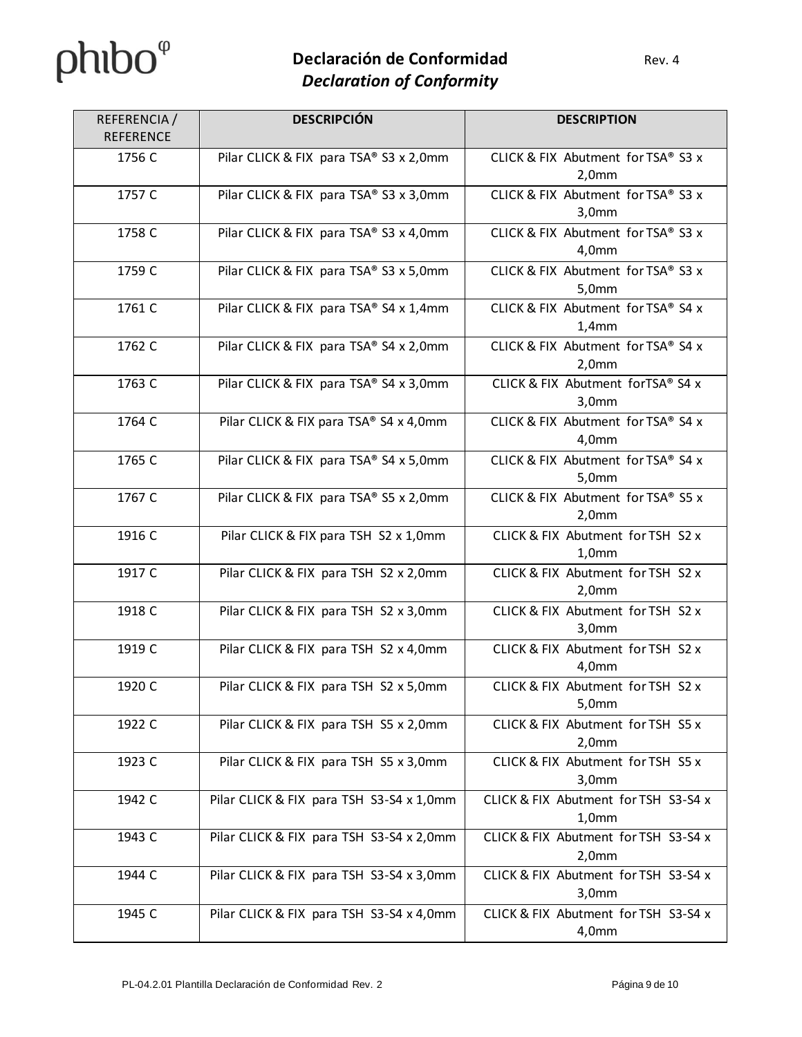| REFERENCIA /<br><b>REFERENCE</b> | <b>DESCRIPCIÓN</b>                       | <b>DESCRIPTION</b>                                     |
|----------------------------------|------------------------------------------|--------------------------------------------------------|
| 1756 C                           | Pilar CLICK & FIX para TSA® S3 x 2,0mm   | CLICK & FIX Abutment for TSA® S3 x<br>2,0mm            |
| 1757 C                           | Pilar CLICK & FIX para TSA® S3 x 3,0mm   | CLICK & FIX Abutment for TSA® S3 x<br>3,0mm            |
| 1758 C                           | Pilar CLICK & FIX para TSA® S3 x 4,0mm   | CLICK & FIX Abutment for TSA® S3 x<br>4,0mm            |
| 1759 C                           | Pilar CLICK & FIX para TSA® S3 x 5,0mm   | CLICK & FIX Abutment for TSA® S3 x<br>5,0mm            |
| 1761 C                           | Pilar CLICK & FIX para TSA® S4 x 1,4mm   | CLICK & FIX Abutment for TSA® S4 x<br>1,4mm            |
| 1762 C                           | Pilar CLICK & FIX para TSA® S4 x 2,0mm   | CLICK & FIX Abutment for TSA® S4 x<br>2,0mm            |
| 1763 C                           | Pilar CLICK & FIX para TSA® S4 x 3,0mm   | CLICK & FIX Abutment forTSA® S4 x<br>3,0mm             |
| 1764 C                           | Pilar CLICK & FIX para TSA® S4 x 4,0mm   | CLICK & FIX Abutment for TSA® S4 x<br>4,0mm            |
| 1765 C                           | Pilar CLICK & FIX para TSA® S4 x 5,0mm   | CLICK & FIX Abutment for TSA® S4 x<br>5,0mm            |
| 1767 C                           | Pilar CLICK & FIX para TSA® S5 x 2,0mm   | CLICK & FIX Abutment for TSA® S5 x<br>2,0mm            |
| 1916 C                           | Pilar CLICK & FIX para TSH S2 x 1,0mm    | CLICK & FIX Abutment for TSH S2 x<br>1,0 <sub>mm</sub> |
| 1917 C                           | Pilar CLICK & FIX para TSH S2 x 2,0mm    | CLICK & FIX Abutment for TSH S2 x<br>2,0mm             |
| 1918 C                           | Pilar CLICK & FIX para TSH S2 x 3,0mm    | CLICK & FIX Abutment for TSH S2 x<br>3,0mm             |
| 1919 C                           | Pilar CLICK & FIX para TSH S2 x 4,0mm    | CLICK & FIX Abutment for TSH S2 x<br>4,0mm             |
| 1920 C                           | Pilar CLICK & FIX para TSH S2 x 5,0mm    | CLICK & FIX Abutment for TSH S2 x<br>5,0mm             |
| 1922 C                           | Pilar CLICK & FIX para TSH S5 x 2,0mm    | CLICK & FIX Abutment for TSH S5 x<br>2,0mm             |
| 1923 C                           | Pilar CLICK & FIX para TSH S5 x 3,0mm    | CLICK & FIX Abutment for TSH S5 x<br>3,0mm             |
| 1942 C                           | Pilar CLICK & FIX para TSH S3-S4 x 1,0mm | CLICK & FIX Abutment for TSH S3-S4 x<br>1,0mm          |
| 1943 C                           | Pilar CLICK & FIX para TSH S3-S4 x 2,0mm | CLICK & FIX Abutment for TSH S3-S4 x<br>2,0mm          |
| 1944 C                           | Pilar CLICK & FIX para TSH S3-S4 x 3,0mm | CLICK & FIX Abutment for TSH S3-S4 x<br>3,0mm          |
| 1945 C                           | Pilar CLICK & FIX para TSH S3-S4 x 4,0mm | CLICK & FIX Abutment for TSH S3-S4 x<br>4,0mm          |